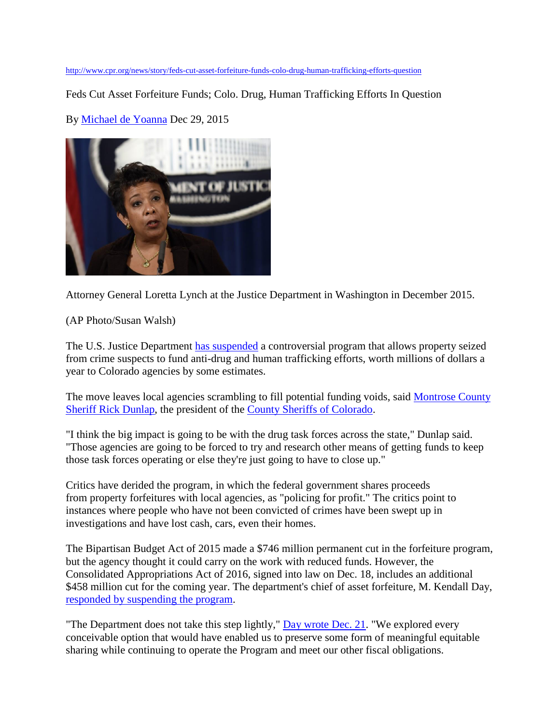<http://www.cpr.org/news/story/feds-cut-asset-forfeiture-funds-colo-drug-human-trafficking-efforts-question>

Feds Cut Asset Forfeiture Funds; Colo. Drug, Human Trafficking Efforts In Question

By [Michael de Yoanna](http://www.cpr.org/profile/michael-de-yoanna) Dec 29, 2015



Attorney General Loretta Lynch at the Justice Department in Washington in December 2015.

(AP Photo/Susan Walsh)

The U.S. Justice Department [has suspended](https://www.cpr.org/sites/default/files/rescission_impact_on_equtiable_sharing_122115_1.pdf) a controversial program that allows property seized from crime suspects to fund anti-drug and human trafficking efforts, worth millions of dollars a year to Colorado agencies by some estimates.

The move leaves local agencies scrambling to fill potential funding voids, said [Montrose County](http://www.co.montrose.co.us/directory.aspx?EID=27)  [Sheriff Rick Dunlap,](http://www.co.montrose.co.us/directory.aspx?EID=27) the president of the [County Sheriffs of Colorado.](http://www.csoc.org/board_members.asp)

"I think the big impact is going to be with the drug task forces across the state," Dunlap said. "Those agencies are going to be forced to try and research other means of getting funds to keep those task forces operating or else they're just going to have to close up."

Critics have derided the program, in which the federal government shares proceeds from property forfeitures with local agencies, as "policing for profit." The critics point to instances where people who have not been convicted of crimes have been swept up in investigations and have lost cash, cars, even their homes.

The Bipartisan Budget Act of 2015 made a \$746 million permanent cut in the forfeiture program, but the agency thought it could carry on the work with reduced funds. However, the Consolidated Appropriations Act of 2016, signed into law on Dec. 18, includes an additional \$458 million cut for the coming year. The department's chief of asset forfeiture, M. Kendall Day, [responded by suspending the program.](http://www.cpr.org/sites/default/files/rescission_impact_on_equtiable_sharing_122115_1.pdf)

"The Department does not take this step lightly," [Day wrote](http://www.cpr.org/sites/default/files/rescission_impact_on_equtiable_sharing_122115_1.pdf) Dec. 21. "We explored every conceivable option that would have enabled us to preserve some form of meaningful equitable sharing while continuing to operate the Program and meet our other fiscal obligations.